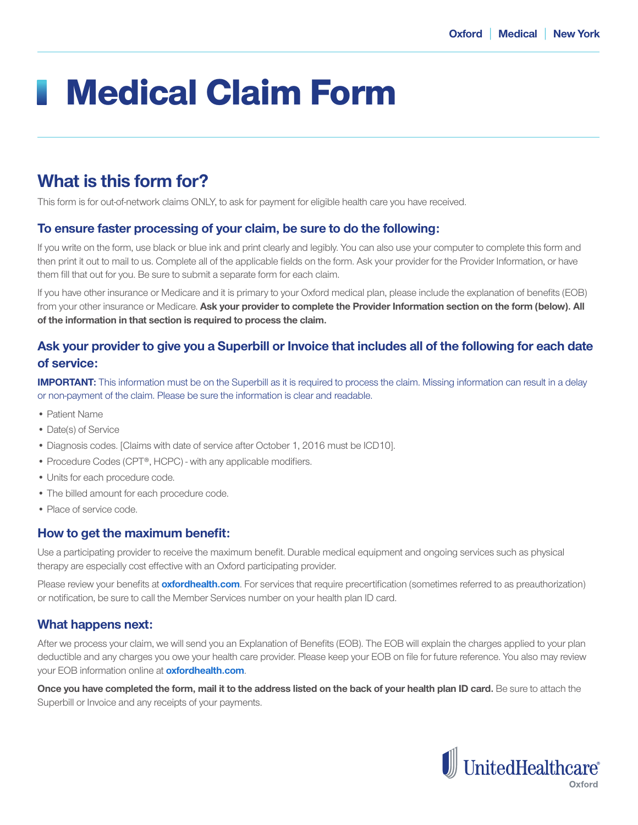# Medical Claim Form

# **What is this form for?**

This form is for out-of-network claims ONLY, to ask for payment for eligible health care you have received.

## **To ensure faster processing of your claim, be sure to do the following:**

If you write on the form, use black or blue ink and print clearly and legibly. You can also use your computer to complete this form and then print it out to mail to us. Complete all of the applicable fields on the form. Ask your provider for the Provider Information, or have them fill that out for you. Be sure to submit a separate form for each claim.

If you have other insurance or Medicare and it is primary to your Oxford medical plan, please include the explanation of benefits (EOB) from your other insurance or Medicare. **Ask your provider to complete the Provider Information section on the form (below). All of the information in that section is required to process the claim.**

# **Ask your provider to give you a Superbill or Invoice that includes all of the following for each date of service:**

**IMPORTANT:** This information must be on the Superbill as it is required to process the claim. Missing information can result in a delay or non-payment of the claim. Please be sure the information is clear and readable.

- Patient Name
- Date(s) of Service
- Diagnosis codes. [Claims with date of service after October 1, 2016 must be ICD10].
- Procedure Codes (CPT®, HCPC) with any applicable modifiers.
- Units for each procedure code.
- The billed amount for each procedure code.
- Place of service code.

#### **How to get the maximum benefit:**

Use a participating provider to receive the maximum benefit. Durable medical equipment and ongoing services such as physical therapy are especially cost effective with an Oxford participating provider.

Please review your benefits at **oxfordhealth.com**. For services that require precertification (sometimes referred to as preauthorization) or notification, be sure to call the Member Services number on your health plan ID card.

## **What happens next:**

After we process your claim, we will send you an Explanation of Benefits (EOB). The EOB will explain the charges applied to your plan deductible and any charges you owe your health care provider. Please keep your EOB on file for future reference. You also may review your EOB information online at **oxfordhealth.com**.

**Once you have completed the form, mail it to the address listed on the back of your health plan ID card.** Be sure to attach the Superbill or Invoice and any receipts of your payments.